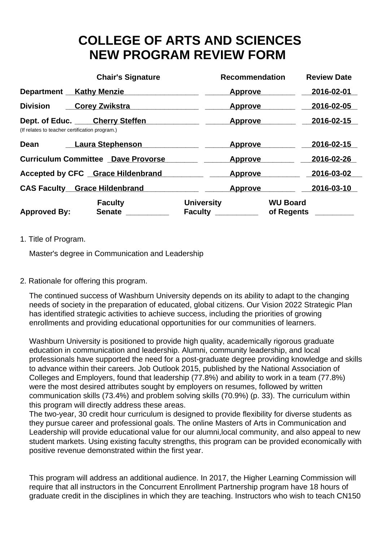## **COLLEGE OF ARTS AND SCIENCES NEW PROGRAM REVIEW FORM**

|                                                | <b>Chair's Signature</b>                  | <b>Recommendation</b>               | <b>Review Date</b>            |  |
|------------------------------------------------|-------------------------------------------|-------------------------------------|-------------------------------|--|
| Department Kathy Menzie                        |                                           | <b>Approve</b>                      | 2016-02-01                    |  |
| <b>Division</b>                                | <b>Corey Zwikstra</b>                     | <b>Approve</b>                      | 2016-02-05                    |  |
| (If relates to teacher certification program.) | Dept. of Educ. Cherry Steffen             | <b>Approve</b>                      | 2016-02-15                    |  |
| Dean                                           | Laura Stephenson                          | <b>Approve</b>                      | 2016-02-15                    |  |
|                                                | <b>Curriculum Committee Dave Provorse</b> | <b>Approve</b>                      | 2016-02-26                    |  |
|                                                | <b>Accepted by CFC</b> Grace Hildenbrand  | <b>Approve</b>                      | 2016-03-02                    |  |
|                                                | <b>CAS Faculty Grace Hildenbrand</b>      | <b>Approve</b>                      | 2016-03-10                    |  |
| <b>Approved By:</b>                            | <b>Faculty</b><br><b>Senate</b>           | <b>University</b><br><b>Faculty</b> | <b>WU Board</b><br>of Regents |  |

## 1. Title of Program.

Master's degree in Communication and Leadership

## 2. Rationale for offering this program.

The continued success of Washburn University depends on its ability to adapt to the changing needs of society in the preparation of educated, global citizens. Our Vision 2022 Strategic Plan has identified strategic activities to achieve success, including the priorities of growing enrollments and providing educational opportunities for our communities of learners.

Washburn University is positioned to provide high quality, academically rigorous graduate education in communication and leadership. Alumni, community leadership, and local professionals have supported the need for a post-graduate degree providing knowledge and skills to advance within their careers. Job Outlook 2015, published by the National Association of Colleges and Employers, found that leadership (77.8%) and ability to work in a team (77.8%) were the most desired attributes sought by employers on resumes, followed by written communication skills (73.4%) and problem solving skills (70.9%) (p. 33). The curriculum within this program will directly address these areas.

The two-year, 30 credit hour curriculum is designed to provide flexibility for diverse students as they pursue career and professional goals. The online Masters of Arts in Communication and Leadership will provide educational value for our alumni,local community, and also appeal to new student markets. Using existing faculty strengths, this program can be provided economically with positive revenue demonstrated within the first year.

This program will address an additional audience. In 2017, the Higher Learning Commission will require that all instructors in the Concurrent Enrollment Partnership program have 18 hours of graduate credit in the disciplines in which they are teaching. Instructors who wish to teach CN150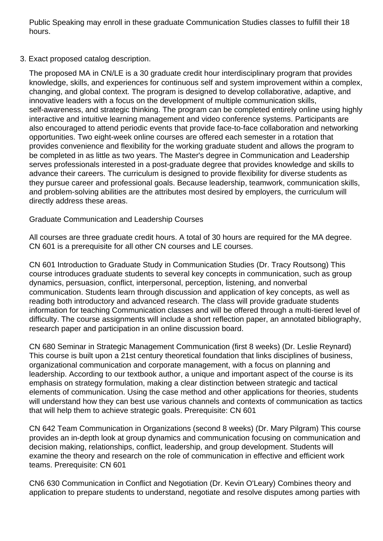Public Speaking may enroll in these graduate Communication Studies classes to fulfill their 18 hours.

3. Exact proposed catalog description.

The proposed MA in CN/LE is a 30 graduate credit hour interdisciplinary program that provides knowledge, skills, and experiences for continuous self and system improvement within a complex, changing, and global context. The program is designed to develop collaborative, adaptive, and innovative leaders with a focus on the development of multiple communication skills, self-awareness, and strategic thinking. The program can be completed entirely online using highly interactive and intuitive learning management and video conference systems. Participants are also encouraged to attend periodic events that provide face-to-face collaboration and networking opportunities. Two eight-week online courses are offered each semester in a rotation that provides convenience and flexibility for the working graduate student and allows the program to be completed in as little as two years. The Master's degree in Communication and Leadership serves professionals interested in a post-graduate degree that provides knowledge and skills to advance their careers. The curriculum is designed to provide flexibility for diverse students as they pursue career and professional goals. Because leadership, teamwork, communication skills, and problem-solving abilities are the attributes most desired by employers, the curriculum will directly address these areas.

## Graduate Communication and Leadership Courses

All courses are three graduate credit hours. A total of 30 hours are required for the MA degree. CN 601 is a prerequisite for all other CN courses and LE courses.

CN 601 Introduction to Graduate Study in Communication Studies (Dr. Tracy Routsong) This course introduces graduate students to several key concepts in communication, such as group dynamics, persuasion, conflict, interpersonal, perception, listening, and nonverbal communication. Students learn through discussion and application of key concepts, as well as reading both introductory and advanced research. The class will provide graduate students information for teaching Communication classes and will be offered through a multi-tiered level of difficulty. The course assignments will include a short reflection paper, an annotated bibliography, research paper and participation in an online discussion board.

CN 680 Seminar in Strategic Management Communication (first 8 weeks) (Dr. Leslie Reynard) This course is built upon a 21st century theoretical foundation that links disciplines of business, organizational communication and corporate management, with a focus on planning and leadership. According to our textbook author, a unique and important aspect of the course is its emphasis on strategy formulation, making a clear distinction between strategic and tactical elements of communication. Using the case method and other applications for theories, students will understand how they can best use various channels and contexts of communication as tactics that will help them to achieve strategic goals. Prerequisite: CN 601

CN 642 Team Communication in Organizations (second 8 weeks) (Dr. Mary Pilgram) This course provides an in-depth look at group dynamics and communication focusing on communication and decision making, relationships, conflict, leadership, and group development. Students will examine the theory and research on the role of communication in effective and efficient work teams. Prerequisite: CN 601

CN6 630 Communication in Conflict and Negotiation (Dr. Kevin O'Leary) Combines theory and application to prepare students to understand, negotiate and resolve disputes among parties with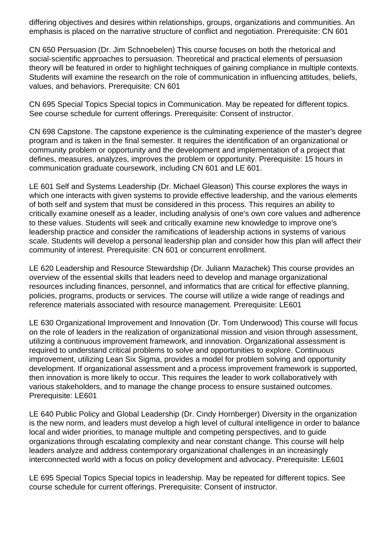differing objectives and desires within relationships, groups, organizations and communities. An emphasis is placed on the narrative structure of conflict and negotiation. Prerequisite: CN 601

CN 650 Persuasion (Dr. Jim Schnoebelen) This course focuses on both the rhetorical and social-scientific approaches to persuasion. Theoretical and practical elements of persuasion theory will be featured in order to highlight techniques of gaining compliance in multiple contexts. Students will examine the research on the role of communication in influencing attitudes, beliefs, values, and behaviors. Prerequisite: CN 601

CN 695 Special Topics Special topics in Communication. May be repeated for different topics. See course schedule for current offerings. Prerequisite: Consent of instructor.

CN 698 Capstone. The capstone experience is the culminating experience of the master's degree program and is taken in the final semester. It requires the identification of an organizational or community problem or opportunity and the development and implementation of a project that defines, measures, analyzes, improves the problem or opportunity. Prerequisite: 15 hours in communication graduate coursework, including CN 601 and LE 601.

LE 601 Self and Systems Leadership (Dr. Michael Gleason) This course explores the ways in which one interacts with given systems to provide effective leadership, and the various elements of both self and system that must be considered in this process. This requires an ability to critically examine oneself as a leader, including analysis of one's own core values and adherence to these values. Students will seek and critically examine new knowledge to improve one's leadership practice and consider the ramifications of leadership actions in systems of various scale. Students will develop a personal leadership plan and consider how this plan will affect their community of interest. Prerequisite: CN 601 or concurrent enrollment.

LE 620 Leadership and Resource Stewardship (Dr. Juliann Mazachek) This course provides an overview of the essential skills that leaders need to develop and manage organizational resources including finances, personnel, and informatics that are critical for effective planning, policies, programs, products or services. The course will utilize a wide range of readings and reference materials associated with resource management. Prerequisite: LE601

LE 630 Organizational Improvement and Innovation (Dr. Tom Underwood) This course will focus on the role of leaders in the realization of organizational mission and vision through assessment, utilizing a continuous improvement framework, and innovation. Organizational assessment is required to understand critical problems to solve and opportunities to explore. Continuous improvement, utilizing Lean Six Sigma, provides a model for problem solving and opportunity development. If organizational assessment and a process improvement framework is supported, then innovation is more likely to occur. This requires the leader to work collaboratively with various stakeholders, and to manage the change process to ensure sustained outcomes. Prerequisite: LE601

LE 640 Public Policy and Global Leadership (Dr. Cindy Hornberger) Diversity in the organization is the new norm, and leaders must develop a high level of cultural intelligence in order to balance local and wider priorities, to manage multiple and competing perspectives, and to guide organizations through escalating complexity and near constant change. This course will help leaders analyze and address contemporary organizational challenges in an increasingly interconnected world with a focus on policy development and advocacy. Prerequisite: LE601

LE 695 Special Topics Special topics in leadership. May be repeated for different topics. See course schedule for current offerings. Prerequisite: Consent of instructor.